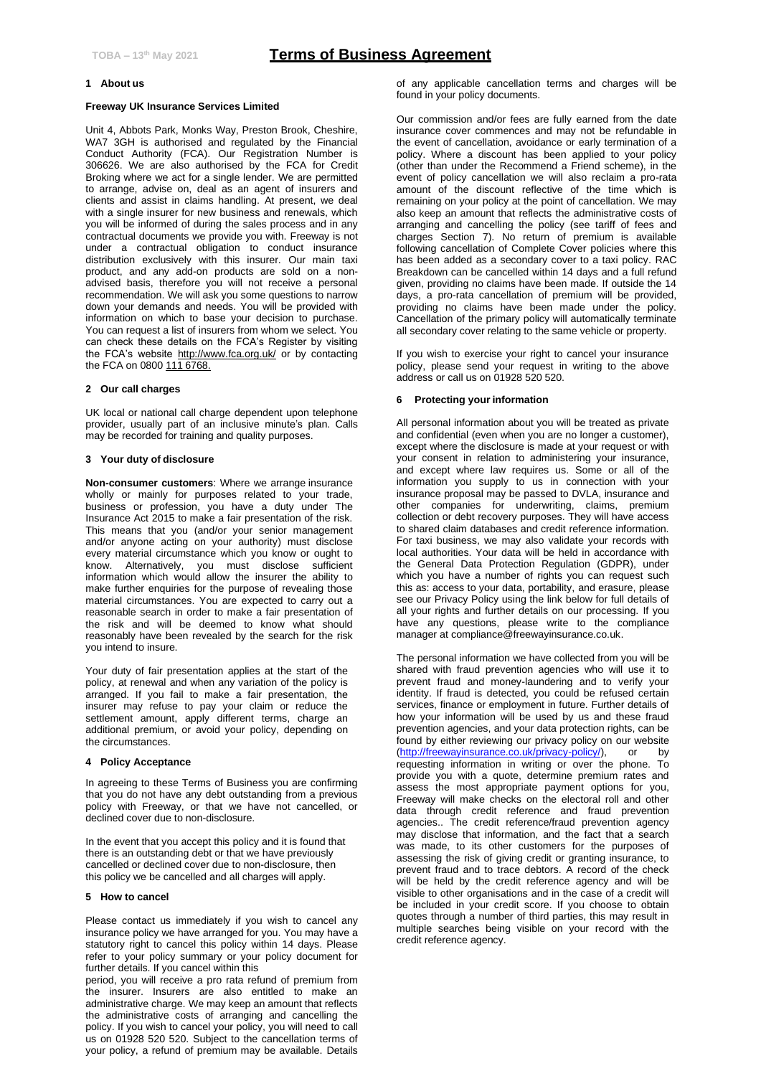### **1 About us**

#### **Freeway UK Insurance Services Limited**

Unit 4, Abbots Park, Monks Way, Preston Brook, Cheshire, WA7 3GH is authorised and regulated by the Financial Conduct Authority (FCA). Our Registration Number is 306626. We are also authorised by the FCA for Credit Broking where we act for a single lender. We are permitted to arrange, advise on, deal as an agent of insurers and clients and assist in claims handling. At present, we deal with a single insurer for new business and renewals, which you will be informed of during the sales process and in any contractual documents we provide you with. Freeway is not under a contractual obligation to conduct insurance distribution exclusively with this insurer. Our main taxi product, and any add-on products are sold on a nonadvised basis, therefore you will not receive a personal recommendation. We will ask you some questions to narrow down your demands and needs. You will be provided with information on which to base your decision to purchase. You can request a list of insurers from whom we select. You can check these details on the FCA's Register by visiting the FCA's website http://www.fca.org.uk/ or by contacting the FCA on 0800 111 6768.

#### **2 Our call charges**

UK local or national call charge dependent upon telephone provider, usually part of an inclusive minute's plan. Calls may be recorded for training and quality purposes.

### **3 Your duty of disclosure**

**Non-consumer customers**: Where we arrange insurance wholly or mainly for purposes related to your trade, business or profession, you have a duty under The Insurance Act 2015 to make a fair presentation of the risk. This means that you (and/or your senior management and/or anyone acting on your authority) must disclose every material circumstance which you know or ought to know. Alternatively, you must disclose sufficient information which would allow the insurer the ability to make further enquiries for the purpose of revealing those material circumstances. You are expected to carry out a reasonable search in order to make a fair presentation of the risk and will be deemed to know what should reasonably have been revealed by the search for the risk you intend to insure.

Your duty of fair presentation applies at the start of the policy, at renewal and when any variation of the policy is arranged. If you fail to make a fair presentation, the insurer may refuse to pay your claim or reduce the settlement amount, apply different terms, charge an additional premium, or avoid your policy, depending on the circumstances.

## **4 Policy Acceptance**

In agreeing to these Terms of Business you are confirming that you do not have any debt outstanding from a previous policy with Freeway, or that we have not cancelled, or declined cover due to non-disclosure.

In the event that you accept this policy and it is found that there is an outstanding debt or that we have previously cancelled or declined cover due to non-disclosure, then this policy we be cancelled and all charges will apply.

## **5 How to cancel**

Please contact us immediately if you wish to cancel any insurance policy we have arranged for you. You may have a statutory right to cancel this policy within 14 days. Please refer to your policy summary or your policy document for further details. If you cancel within this

period, you will receive a pro rata refund of premium from the insurer. Insurers are also entitled to make an administrative charge. We may keep an amount that reflects the administrative costs of arranging and cancelling the policy. If you wish to cancel your policy, you will need to call us on 01928 520 520. Subject to the cancellation terms of your policy, a refund of premium may be available. Details of any applicable cancellation terms and charges will be found in your policy documents.

Our commission and/or fees are fully earned from the date insurance cover commences and may not be refundable in the event of cancellation, avoidance or early termination of a policy. Where a discount has been applied to your policy (other than under the Recommend a Friend scheme), in the event of policy cancellation we will also reclaim a pro-rata amount of the discount reflective of the time which is remaining on your policy at the point of cancellation. We may also keep an amount that reflects the administrative costs of arranging and cancelling the policy (see tariff of fees and charges Section 7). No return of premium is available following cancellation of Complete Cover policies where this has been added as a secondary cover to a taxi policy. RAC Breakdown can be cancelled within 14 days and a full refund given, providing no claims have been made. If outside the 14 days, a pro-rata cancellation of premium will be provided, providing no claims have been made under the policy. Cancellation of the primary policy will automatically terminate all secondary cover relating to the same vehicle or property.

If you wish to exercise your right to cancel your insurance policy, please send your request in writing to the above address or call us on 01928 520 520.

#### **6 Protecting your information**

All personal information about you will be treated as private and confidential (even when you are no longer a customer), except where the disclosure is made at your request or with your consent in relation to administering your insurance, and except where law requires us. Some or all of the information you supply to us in connection with your insurance proposal may be passed to DVLA, insurance and other companies for underwriting, claims, premium collection or debt recovery purposes. They will have access to shared claim databases and credit reference information. For taxi business, we may also validate your records with local authorities. Your data will be held in accordance with the General Data Protection Regulation (GDPR), under which you have a number of rights you can request such this as: access to your data, portability, and erasure, please see our Privacy Policy using the link below for full details of all your rights and further details on our processing. If you have any questions, please write to the compliance manager at compliance@freewayinsurance.co.uk.

The personal information we have collected from you will be shared with fraud prevention agencies who will use it to prevent fraud and money-laundering and to verify your identity. If fraud is detected, you could be refused certain services, finance or employment in future. Further details of how your information will be used by us and these fraud prevention agencies, and your data protection rights, can be found by either reviewing our privacy policy on our website [\(http://freewayinsurance.co.uk/privacy-policy/\)](http://freewayinsurance.co.uk/privacy-policy/), or by requesting information in writing or over the phone. To provide you with a quote, determine premium rates and assess the most appropriate payment options for you, Freeway will make checks on the electoral roll and other data through credit reference and fraud prevention agencies.. The credit reference/fraud prevention agency may disclose that information, and the fact that a search was made, to its other customers for the purposes of assessing the risk of giving credit or granting insurance, to prevent fraud and to trace debtors. A record of the check will be held by the credit reference agency and will be visible to other organisations and in the case of a credit will be included in your credit score. If you choose to obtain quotes through a number of third parties, this may result in multiple searches being visible on your record with the credit reference agency.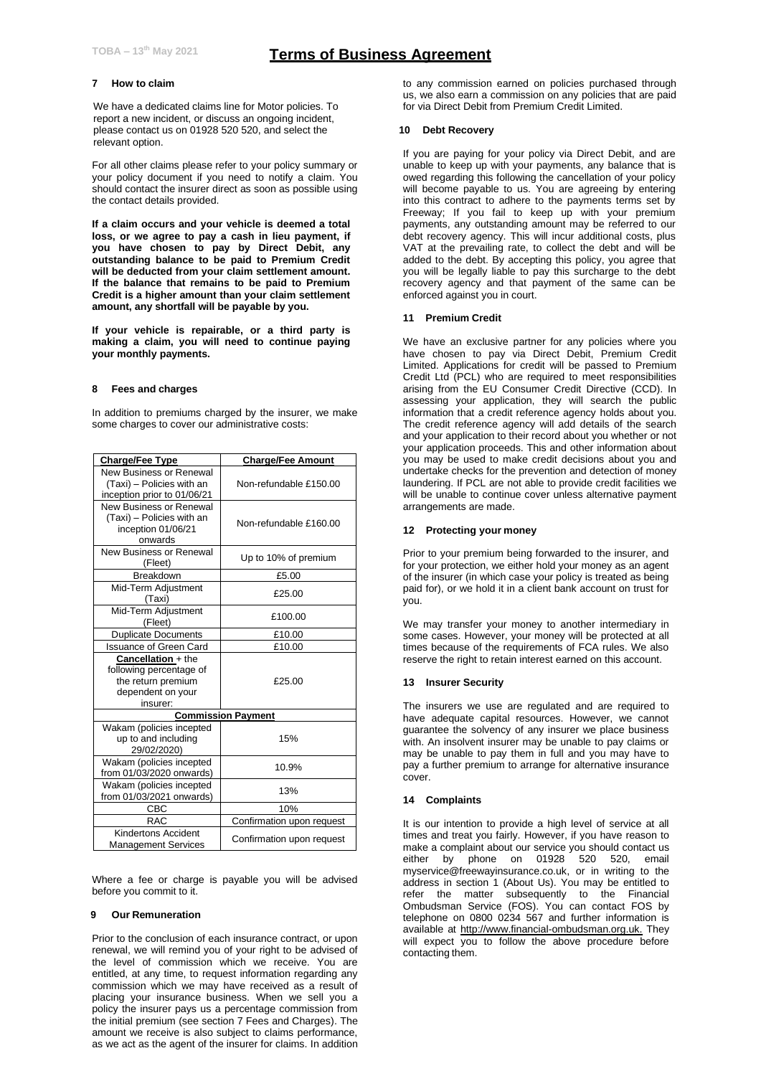## **7 How to claim**

We have a dedicated claims line for Motor policies. To report a new incident, or discuss an ongoing incident, please contact us on 01928 520 520, and select the relevant option.

For all other claims please refer to your policy summary or your policy document if you need to notify a claim. You should contact the insurer direct as soon as possible using the contact details provided.

**If a claim occurs and your vehicle is deemed a total loss, or we agree to pay a cash in lieu payment, if you have chosen to pay by Direct Debit, any outstanding balance to be paid to Premium Credit will be deducted from your claim settlement amount. If the balance that remains to be paid to Premium Credit is a higher amount than your claim settlement amount, any shortfall will be payable by you.**

**If your vehicle is repairable, or a third party is making a claim, you will need to continue paying your monthly payments.**

#### **8 Fees and charges**

In addition to premiums charged by the insurer, we make some charges to cover our administrative costs:

| <b>Charge/Fee Type</b>                                                                                      | <b>Charge/Fee Amount</b>  |
|-------------------------------------------------------------------------------------------------------------|---------------------------|
| New Business or Renewal<br>(Taxi) - Policies with an<br>inception prior to 01/06/21                         | Non-refundable £150.00    |
| New Business or Renewal<br>(Taxi) - Policies with an<br>inception 01/06/21<br>onwards                       | Non-refundable £160.00    |
| New Business or Renewal<br>(Fleet)                                                                          | Up to 10% of premium      |
| Breakdown                                                                                                   | £5.00                     |
| Mid-Term Adjustment<br>(Taxi)                                                                               | £25.00                    |
| Mid-Term Adjustment<br>(Fleet)                                                                              | £100.00                   |
| <b>Duplicate Documents</b>                                                                                  | £10.00                    |
| <b>Issuance of Green Card</b>                                                                               | £10.00                    |
| <b>Cancellation + the</b><br>following percentage of<br>the return premium<br>dependent on your<br>insurer: | £25.00                    |
| <b>Commission Payment</b>                                                                                   |                           |
| Wakam (policies incepted<br>up to and including<br>29/02/2020)                                              | 15%                       |
| Wakam (policies incepted<br>from 01/03/2020 onwards)                                                        | 10.9%                     |
| Wakam (policies incepted<br>from 01/03/2021 onwards)                                                        | 13%                       |
| CBC                                                                                                         | 10%                       |
| <b>RAC</b>                                                                                                  | Confirmation upon request |
| Kindertons Accident<br><b>Management Services</b>                                                           | Confirmation upon request |

Where a fee or charge is payable you will be advised before you commit to it.

# **9 Our Remuneration**

Prior to the conclusion of each insurance contract, or upon renewal, we will remind you of your right to be advised of the level of commission which we receive. You are entitled, at any time, to request information regarding any commission which we may have received as a result of placing your insurance business. When we sell you a policy the insurer pays us a percentage commission from the initial premium (see section 7 Fees and Charges). The amount we receive is also subject to claims performance, as we act as the agent of the insurer for claims. In addition

to any commission earned on policies purchased through us, we also earn a commission on any policies that are paid for via Direct Debit from Premium Credit Limited.

## **10 Debt Recovery**

If you are paying for your policy via Direct Debit, and are unable to keep up with your payments, any balance that is owed regarding this following the cancellation of your policy will become payable to us. You are agreeing by entering into this contract to adhere to the payments terms set by Freeway; If you fail to keep up with your premium payments, any outstanding amount may be referred to our debt recovery agency. This will incur additional costs, plus VAT at the prevailing rate, to collect the debt and will be added to the debt. By accepting this policy, you agree that you will be legally liable to pay this surcharge to the debt recovery agency and that payment of the same can be enforced against you in court.

## **11 Premium Credit**

We have an exclusive partner for any policies where you have chosen to pay via Direct Debit, Premium Credit Limited. Applications for credit will be passed to Premium Credit Ltd (PCL) who are required to meet responsibilities arising from the EU Consumer Credit Directive (CCD). In assessing your application, they will search the public information that a credit reference agency holds about you. The credit reference agency will add details of the search and your application to their record about you whether or not your application proceeds. This and other information about you may be used to make credit decisions about you and undertake checks for the prevention and detection of money laundering. If PCL are not able to provide credit facilities we will be unable to continue cover unless alternative payment arrangements are made.

#### **12 Protecting your money**

Prior to your premium being forwarded to the insurer, and for your protection, we either hold your money as an agent of the insurer (in which case your policy is treated as being paid for), or we hold it in a client bank account on trust for you.

We may transfer your money to another intermediary in some cases. However, your money will be protected at all times because of the requirements of FCA rules. We also reserve the right to retain interest earned on this account.

### **13 Insurer Security**

The insurers we use are regulated and are required to have adequate capital resources. However, we cannot guarantee the solvency of any insurer we place business with. An insolvent insurer may be unable to pay claims or may be unable to pay them in full and you may have to pay a further premium to arrange for alternative insurance cover.

## **14 Complaints**

It is our intention to provide a high level of service at all times and treat you fairly. However, if you have reason to make a complaint about our service you should contact us either by phone on 01928 520 520, email myservice@freewayinsurance.co.uk, or in writing to the address in section 1 (About Us). You may be entitled to refer the matter subsequently to the Financial Ombudsman Service (FOS). You can contact FOS by telephone on 0800 0234 567 and further information is available at http://www.financial-ombudsman.org.uk. They will expect you to follow the above procedure before contacting them.